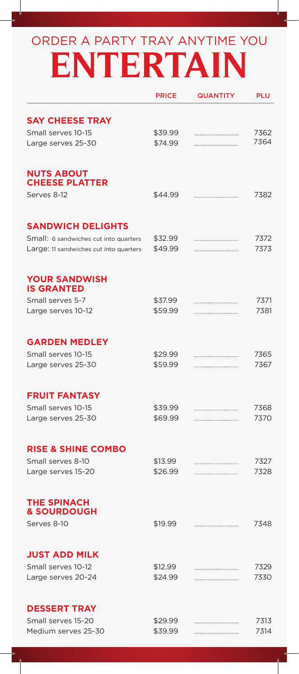## ORDER A PARTY TRAY ANYTIME YOU **ENTERTAIN**

|                                           | <b>PRICE</b>       | <b>QUANTITY</b> | PLU  |
|-------------------------------------------|--------------------|-----------------|------|
| <b>SAY CHEESE TRAY</b>                    |                    |                 |      |
| Small serves 10-15                        | \$39.99            |                 | 7362 |
| Large serves 25-30                        | \$74.99            |                 | 7364 |
|                                           |                    |                 |      |
| <b>NUTS ABOUT</b>                         |                    |                 |      |
| <b>CHEESE PLATTER</b>                     |                    |                 |      |
| Serves 8-12                               | \$44.99            |                 | 7382 |
| <b>SANDWICH DELIGHTS</b>                  |                    |                 |      |
| Small: 6 sandwiches cut into quarters     | \$32.99            |                 | 7372 |
| Large: 11 sandwiches cut into quarters    | \$49.99            |                 | 7373 |
|                                           |                    |                 |      |
| <b>YOUR SANDWISH</b><br><b>IS GRANTED</b> |                    |                 |      |
| Small serves 5-7                          | \$37.99            |                 | 7371 |
| Large serves 10-12                        | \$59.99            |                 | 7381 |
|                                           |                    |                 |      |
| <b>GARDEN MEDLEY</b>                      |                    |                 |      |
| Small serves 10-15                        | \$29.99            |                 | 7365 |
| Large serves 25-30                        | \$59.99            |                 | 7367 |
| <b>FRUIT FANTASY</b>                      |                    |                 |      |
| Small serves 10-15                        | \$39.99            |                 | 7368 |
| Large serves 25-30                        | \$69.99            |                 | 7370 |
|                                           |                    |                 |      |
| <b>RISE &amp; SHINE COMBO</b>             |                    |                 |      |
| Small serves 8-10                         | \$13.99            |                 | 7327 |
| Large serves 15-20                        | \$26.99            |                 | 7328 |
| <b>THE SPINACH</b>                        |                    |                 |      |
| <b>&amp; SOURDOUGH</b>                    |                    |                 |      |
| Serves 8-10                               | \$19.99            |                 | 7348 |
| <b>JUST ADD MILK</b>                      |                    |                 |      |
| Small serves 10-12                        |                    |                 | 7329 |
| Large serves 20-24                        | \$12.99<br>\$24.99 |                 | 7330 |
|                                           |                    |                 |      |
| <b>DESSERT TRAY</b>                       |                    |                 |      |
| Small serves 15-20                        | \$29.99            |                 | 7313 |
| Medium serves 25-30                       | \$39.99            |                 | 7314 |
|                                           |                    |                 |      |